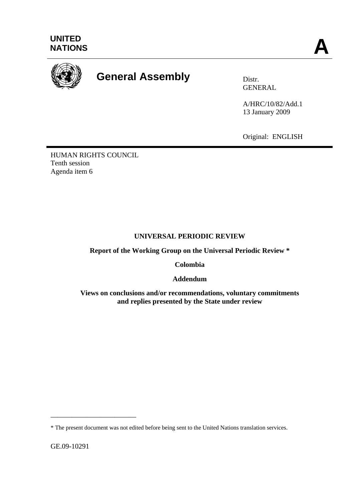

# **General Assembly Distr.**

GENERAL

A/HRC/10/82/Add.1 13 January 2009

Original: ENGLISH

HUMAN RIGHTS COUNCIL Tenth session Agenda item 6

## **UNIVERSAL PERIODIC REVIEW**

**Report of the Working Group on the Universal Periodic Review \*** 

**Colombia** 

**Addendum** 

**Views on conclusions and/or recommendations, voluntary commitments and replies presented by the State under review** 

\_\_\_\_\_\_\_\_\_\_\_\_\_\_\_\_\_\_\_\_\_\_\_\_

<sup>\*</sup> The present document was not edited before being sent to the United Nations translation services.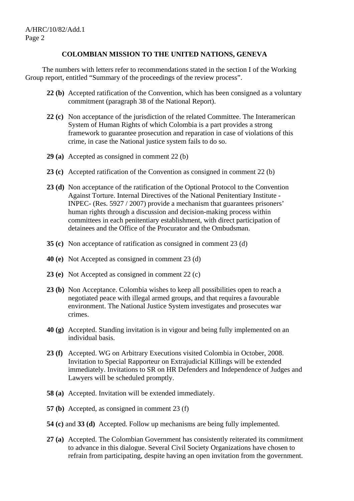#### **COLOMBIAN MISSION TO THE UNITED NATIONS, GENEVA**

 The numbers with letters refer to recommendations stated in the section I of the Working Group report, entitled "Summary of the proceedings of the review process".

- **22 (b)** Accepted ratification of the Convention, which has been consigned as a voluntary commitment (paragraph 38 of the National Report).
- **22 (c)** Non acceptance of the jurisdiction of the related Committee. The Interamerican System of Human Rights of which Colombia is a part provides a strong framework to guarantee prosecution and reparation in case of violations of this crime, in case the National justice system fails to do so.
- **29 (a)** Accepted as consigned in comment 22 (b)
- **23 (c)** Accepted ratification of the Convention as consigned in comment 22 (b)
- **23 (d)** Non acceptance of the ratification of the Optional Protocol to the Convention Against Torture. Internal Directives of the National Penitentiary Institute - INPEC- (Res. 5927 / 2007) provide a mechanism that guarantees prisoners' human rights through a discussion and decision-making process within committees in each penitentiary establishment, with direct participation of detainees and the Office of the Procurator and the Ombudsman.
- **35 (c)** Non acceptance of ratification as consigned in comment 23 (d)
- **40 (e)** Not Accepted as consigned in comment 23 (d)
- **23 (e)** Not Accepted as consigned in comment 22 (c)
- **23 (b)** Non Acceptance. Colombia wishes to keep all possibilities open to reach a negotiated peace with illegal armed groups, and that requires a favourable environment. The National Justice System investigates and prosecutes war crimes.
- **40 (g)** Accepted. Standing invitation is in vigour and being fully implemented on an individual basis.
- **23 (f)** Accepted. WG on Arbitrary Executions visited Colombia in October, 2008. Invitation to Special Rapporteur on Extrajudicial Killings will be extended immediately. Invitations to SR on HR Defenders and Independence of Judges and Lawyers will be scheduled promptly.
- **58 (a)** Accepted. Invitation will be extended immediately.
- **57 (b)** Accepted, as consigned in comment 23 (f)
- **54 (c)** and **33 (d)** Accepted. Follow up mechanisms are being fully implemented.
- **27 (a)** Accepted. The Colombian Government has consistently reiterated its commitment to advance in this dialogue. Several Civil Society Organizations have chosen to refrain from participating, despite having an open invitation from the government.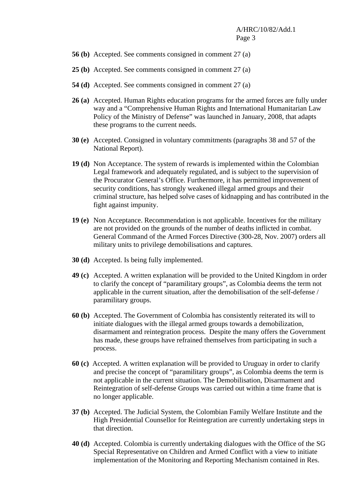- **56 (b)** Accepted. See comments consigned in comment 27 (a)
- **25 (b)** Accepted. See comments consigned in comment 27 (a)
- **54 (d)** Accepted. See comments consigned in comment 27 (a)
- **26 (a)** Accepted. Human Rights education programs for the armed forces are fully under way and a "Comprehensive Human Rights and International Humanitarian Law Policy of the Ministry of Defense" was launched in January, 2008, that adapts these programs to the current needs.
- **30 (e)** Accepted. Consigned in voluntary commitments (paragraphs 38 and 57 of the National Report).
- **19 (d)** Non Acceptance. The system of rewards is implemented within the Colombian Legal framework and adequately regulated, and is subject to the supervision of the Procurator General's Office. Furthermore, it has permitted improvement of security conditions, has strongly weakened illegal armed groups and their criminal structure, has helped solve cases of kidnapping and has contributed in the fight against impunity.
- **19 (e)** Non Acceptance. Recommendation is not applicable. Incentives for the military are not provided on the grounds of the number of deaths inflicted in combat. General Command of the Armed Forces Directive (300-28, Nov. 2007) orders all military units to privilege demobilisations and captures.
- **30 (d)** Accepted. Is being fully implemented.
- **49 (c)** Accepted. A written explanation will be provided to the United Kingdom in order to clarify the concept of "paramilitary groups", as Colombia deems the term not applicable in the current situation, after the demobilisation of the self-defense / paramilitary groups.
- **60 (b)** Accepted. The Government of Colombia has consistently reiterated its will to initiate dialogues with the illegal armed groups towards a demobilization, disarmament and reintegration process. Despite the many offers the Government has made, these groups have refrained themselves from participating in such a process.
- **60 (c)** Accepted. A written explanation will be provided to Uruguay in order to clarify and precise the concept of "paramilitary groups", as Colombia deems the term is not applicable in the current situation. The Demobilisation, Disarmament and Reintegration of self-defense Groups was carried out within a time frame that is no longer applicable.
- **37 (b)** Accepted. The Judicial System, the Colombian Family Welfare Institute and the High Presidential Counsellor for Reintegration are currently undertaking steps in that direction.
- **40 (d)** Accepted. Colombia is currently undertaking dialogues with the Office of the SG Special Representative on Children and Armed Conflict with a view to initiate implementation of the Monitoring and Reporting Mechanism contained in Res.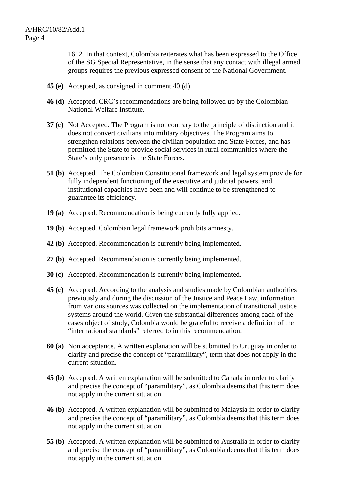1612. In that context, Colombia reiterates what has been expressed to the Office of the SG Special Representative, in the sense that any contact with illegal armed groups requires the previous expressed consent of the National Government.

- **45 (e)** Accepted, as consigned in comment 40 (d)
- **46 (d)** Accepted. CRC's recommendations are being followed up by the Colombian National Welfare Institute.
- **37 (c)** Not Accepted. The Program is not contrary to the principle of distinction and it does not convert civilians into military objectives. The Program aims to strengthen relations between the civilian population and State Forces, and has permitted the State to provide social services in rural communities where the State's only presence is the State Forces.
- **51 (b)** Accepted. The Colombian Constitutional framework and legal system provide for fully independent functioning of the executive and judicial powers, and institutional capacities have been and will continue to be strengthened to guarantee its efficiency.
- **19 (a)** Accepted. Recommendation is being currently fully applied.
- **19 (b)** Accepted. Colombian legal framework prohibits amnesty.
- **42 (b)** Accepted. Recommendation is currently being implemented.
- **27 (b)** Accepted. Recommendation is currently being implemented.
- **30 (c)** Accepted. Recommendation is currently being implemented.
- **45 (c)** Accepted. According to the analysis and studies made by Colombian authorities previously and during the discussion of the Justice and Peace Law, information from various sources was collected on the implementation of transitional justice systems around the world. Given the substantial differences among each of the cases object of study, Colombia would be grateful to receive a definition of the "international standards" referred to in this recommendation.
- **60 (a)** Non acceptance. A written explanation will be submitted to Uruguay in order to clarify and precise the concept of "paramilitary", term that does not apply in the current situation.
- **45 (b)** Accepted. A written explanation will be submitted to Canada in order to clarify and precise the concept of "paramilitary", as Colombia deems that this term does not apply in the current situation.
- **46 (b)** Accepted. A written explanation will be submitted to Malaysia in order to clarify and precise the concept of "paramilitary", as Colombia deems that this term does not apply in the current situation.
- **55 (b)** Accepted. A written explanation will be submitted to Australia in order to clarify and precise the concept of "paramilitary", as Colombia deems that this term does not apply in the current situation.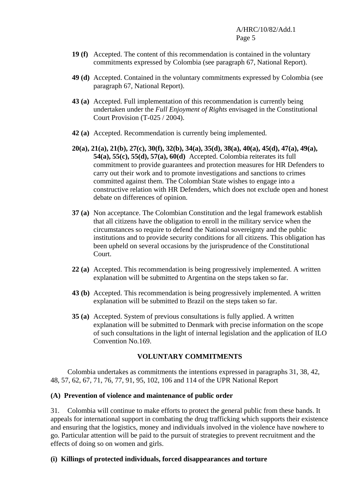- **19 (f)** Accepted. The content of this recommendation is contained in the voluntary commitments expressed by Colombia (see paragraph 67, National Report).
- **49 (d)** Accepted. Contained in the voluntary commitments expressed by Colombia (see paragraph 67, National Report).
- **43 (a)** Accepted. Full implementation of this recommendation is currently being undertaken under the *Full Enjoyment of Rights* envisaged in the Constitutional Court Provision (T-025 / 2004).
- **42 (a)** Accepted. Recommendation is currently being implemented.
- **20(a), 21(a), 21(b), 27(c), 30(f), 32(b), 34(a), 35(d), 38(a), 40(a), 45(d), 47(a), 49(a), 54(a), 55(c), 55(d), 57(a), 60(d)** Accepted. Colombia reiterates its full commitment to provide guarantees and protection measures for HR Defenders to carry out their work and to promote investigations and sanctions to crimes committed against them. The Colombian State wishes to engage into a constructive relation with HR Defenders, which does not exclude open and honest debate on differences of opinion.
- **37 (a)** Non acceptance. The Colombian Constitution and the legal framework establish that all citizens have the obligation to enroll in the military service when the circumstances so require to defend the National sovereignty and the public institutions and to provide security conditions for all citizens. This obligation has been upheld on several occasions by the jurisprudence of the Constitutional Court.
- **22 (a)** Accepted. This recommendation is being progressively implemented. A written explanation will be submitted to Argentina on the steps taken so far.
- **43 (b)** Accepted. This recommendation is being progressively implemented. A written explanation will be submitted to Brazil on the steps taken so far.
- **35 (a)** Accepted. System of previous consultations is fully applied. A written explanation will be submitted to Denmark with precise information on the scope of such consultations in the light of internal legislation and the application of ILO Convention No.169.

## **VOLUNTARY COMMITMENTS**

 Colombia undertakes as commitments the intentions expressed in paragraphs 31, 38, 42, 48, 57, 62, 67, 71, 76, 77, 91, 95, 102, 106 and 114 of the UPR National Report

## **(A) Prevention of violence and maintenance of public order**

31. Colombia will continue to make efforts to protect the general public from these bands. It appeals for international support in combating the drug trafficking which supports their existence and ensuring that the logistics, money and individuals involved in the violence have nowhere to go. Particular attention will be paid to the pursuit of strategies to prevent recruitment and the effects of doing so on women and girls.

## **(i) Killings of protected individuals, forced disappearances and torture**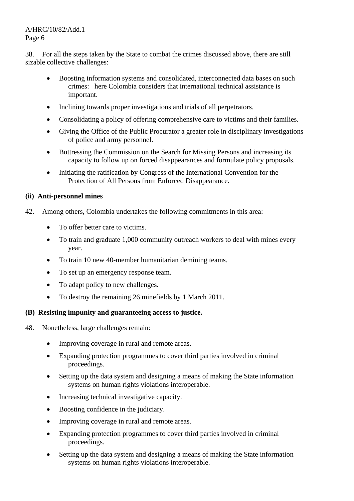## A/HRC/10/82/Add.1 Page 6

38. For all the steps taken by the State to combat the crimes discussed above, there are still sizable collective challenges:

- Boosting information systems and consolidated, interconnected data bases on such crimes: here Colombia considers that international technical assistance is important.
- Inclining towards proper investigations and trials of all perpetrators.
- Consolidating a policy of offering comprehensive care to victims and their families.
- Giving the Office of the Public Procurator a greater role in disciplinary investigations of police and army personnel.
- Buttressing the Commission on the Search for Missing Persons and increasing its capacity to follow up on forced disappearances and formulate policy proposals.
- Initiating the ratification by Congress of the International Convention for the Protection of All Persons from Enforced Disappearance.

## **(ii) Anti-personnel mines**

- 42. Among others, Colombia undertakes the following commitments in this area:
	- To offer better care to victims.
	- To train and graduate 1,000 community outreach workers to deal with mines every year.
	- To train 10 new 40-member humanitarian demining teams.
	- To set up an emergency response team.
	- To adapt policy to new challenges.
	- To destroy the remaining 26 minefields by 1 March 2011.

## **(B) Resisting impunity and guaranteeing access to justice.**

- 48. Nonetheless, large challenges remain:
	- Improving coverage in rural and remote areas.
	- Expanding protection programmes to cover third parties involved in criminal proceedings.
	- Setting up the data system and designing a means of making the State information systems on human rights violations interoperable.
	- Increasing technical investigative capacity.
	- Boosting confidence in the judiciary.
	- Improving coverage in rural and remote areas.
	- Expanding protection programmes to cover third parties involved in criminal proceedings.
	- Setting up the data system and designing a means of making the State information systems on human rights violations interoperable.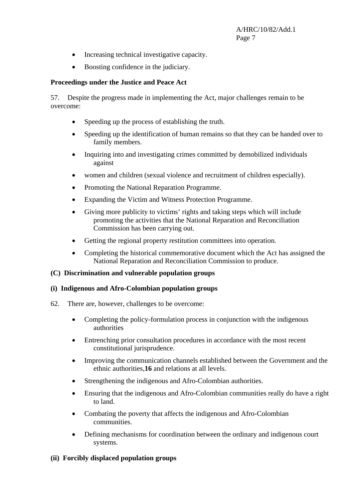- Increasing technical investigative capacity.
- Boosting confidence in the judiciary.

## **Proceedings under the Justice and Peace Act**

57. Despite the progress made in implementing the Act, major challenges remain to be overcome:

- Speeding up the process of establishing the truth.
- Speeding up the identification of human remains so that they can be handed over to family members.
- Inquiring into and investigating crimes committed by demobilized individuals against
- women and children (sexual violence and recruitment of children especially).
- Promoting the National Reparation Programme.
- Expanding the Victim and Witness Protection Programme.
- Giving more publicity to victims' rights and taking steps which will include promoting the activities that the National Reparation and Reconciliation Commission has been carrying out.
- Getting the regional property restitution committees into operation.
- Completing the historical commemorative document which the Act has assigned the National Reparation and Reconciliation Commission to produce.

## **(C) Discrimination and vulnerable population groups**

## **(i) Indigenous and Afro-Colombian population groups**

- 62. There are, however, challenges to be overcome:
	- Completing the policy-formulation process in conjunction with the indigenous authorities
	- Entrenching prior consultation procedures in accordance with the most recent constitutional jurisprudence.
	- Improving the communication channels established between the Government and the ethnic authorities,**16** and relations at all levels.
	- Strengthening the indigenous and Afro-Colombian authorities.
	- Ensuring that the indigenous and Afro-Colombian communities really do have a right to land.
	- Combating the poverty that affects the indigenous and Afro-Colombian communities.
	- Defining mechanisms for coordination between the ordinary and indigenous court systems.

## **(ii) Forcibly displaced population groups**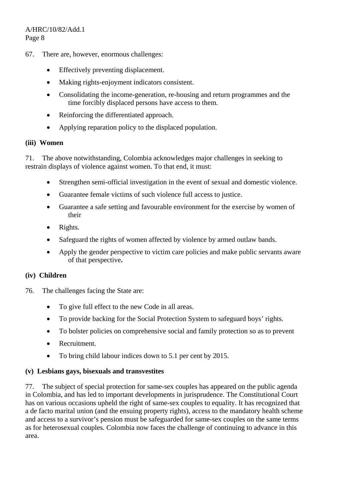- 67. There are, however, enormous challenges:
	- Effectively preventing displacement.
	- Making rights-enjoyment indicators consistent.
	- Consolidating the income-generation, re-housing and return programmes and the time forcibly displaced persons have access to them.
	- Reinforcing the differentiated approach.
	- Applying reparation policy to the displaced population.

#### **(iii) Women**

71. The above notwithstanding, Colombia acknowledges major challenges in seeking to restrain displays of violence against women. To that end, it must:

- Strengthen semi-official investigation in the event of sexual and domestic violence.
- Guarantee female victims of such violence full access to justice.
- Guarantee a safe setting and favourable environment for the exercise by women of their
- Rights.
- Safeguard the rights of women affected by violence by armed outlaw bands.
- Apply the gender perspective to victim care policies and make public servants aware of that perspective**.**

## **(iv) Children**

- 76. The challenges facing the State are:
	- To give full effect to the new Code in all areas.
	- To provide backing for the Social Protection System to safeguard boys' rights.
	- To bolster policies on comprehensive social and family protection so as to prevent
	- Recruitment.
	- To bring child labour indices down to 5.1 per cent by 2015.

## **(v) Lesbians gays, bisexuals and transvestites**

77. The subject of special protection for same-sex couples has appeared on the public agenda in Colombia, and has led to important developments in jurisprudence. The Constitutional Court has on various occasions upheld the right of same-sex couples to equality. It has recognized that a de facto marital union (and the ensuing property rights), access to the mandatory health scheme and access to a survivor's pension must be safeguarded for same-sex couples on the same terms as for heterosexual couples. Colombia now faces the challenge of continuing to advance in this area.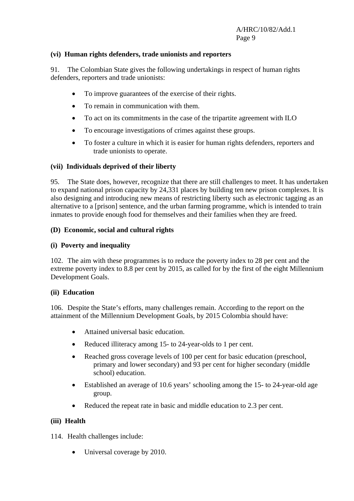#### **(vi) Human rights defenders, trade unionists and reporters**

91. The Colombian State gives the following undertakings in respect of human rights defenders, reporters and trade unionists:

- To improve guarantees of the exercise of their rights.
- To remain in communication with them.
- To act on its commitments in the case of the tripartite agreement with ILO
- To encourage investigations of crimes against these groups.
- To foster a culture in which it is easier for human rights defenders, reporters and trade unionists to operate.

#### **(vii) Individuals deprived of their liberty**

95. The State does, however, recognize that there are still challenges to meet. It has undertaken to expand national prison capacity by 24,331 places by building ten new prison complexes. It is also designing and introducing new means of restricting liberty such as electronic tagging as an alternative to a [prison] sentence, and the urban farming programme, which is intended to train inmates to provide enough food for themselves and their families when they are freed.

#### **(D) Economic, social and cultural rights**

#### **(i) Poverty and inequality**

102. The aim with these programmes is to reduce the poverty index to 28 per cent and the extreme poverty index to 8.8 per cent by 2015, as called for by the first of the eight Millennium Development Goals.

#### **(ii) Education**

106. Despite the State's efforts, many challenges remain. According to the report on the attainment of the Millennium Development Goals, by 2015 Colombia should have:

- Attained universal basic education.
- Reduced illiteracy among 15- to 24-year-olds to 1 per cent.
- Reached gross coverage levels of 100 per cent for basic education (preschool, primary and lower secondary) and 93 per cent for higher secondary (middle school) education.
- Established an average of 10.6 years' schooling among the 15- to 24-year-old age group.
- Reduced the repeat rate in basic and middle education to 2.3 per cent.

#### **(iii) Health**

114. Health challenges include:

• Universal coverage by 2010.